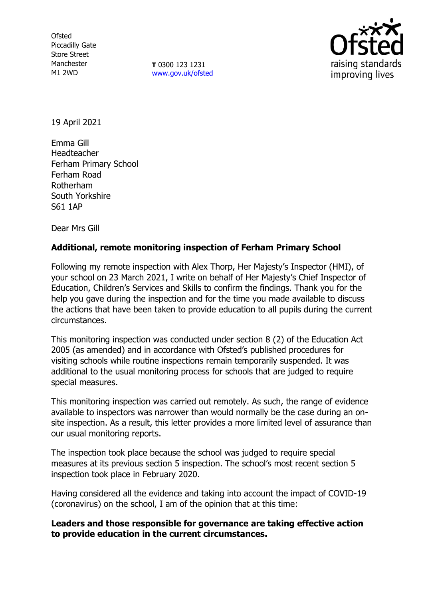**Ofsted** Piccadilly Gate Store Street Manchester M1 2WD

**T** 0300 123 1231 [www.gov.uk/ofsted](http://www.gov.uk/ofsted)



19 April 2021

Emma Gill Headteacher Ferham Primary School Ferham Road Rotherham South Yorkshire S61 1AP

Dear Mrs Gill

## **Additional, remote monitoring inspection of Ferham Primary School**

Following my remote inspection with Alex Thorp, Her Majesty's Inspector (HMI), of your school on 23 March 2021, I write on behalf of Her Majesty's Chief Inspector of Education, Children's Services and Skills to confirm the findings. Thank you for the help you gave during the inspection and for the time you made available to discuss the actions that have been taken to provide education to all pupils during the current circumstances.

This monitoring inspection was conducted under section 8 (2) of the Education Act 2005 (as amended) and in accordance with Ofsted's published procedures for visiting schools while routine inspections remain temporarily suspended. It was additional to the usual monitoring process for schools that are judged to require special measures.

This monitoring inspection was carried out remotely. As such, the range of evidence available to inspectors was narrower than would normally be the case during an onsite inspection. As a result, this letter provides a more limited level of assurance than our usual monitoring reports.

The inspection took place because the school was judged to require special measures at its previous section 5 inspection. The school's most recent section 5 inspection took place in February 2020.

Having considered all the evidence and taking into account the impact of COVID-19 (coronavirus) on the school, I am of the opinion that at this time:

**Leaders and those responsible for governance are taking effective action to provide education in the current circumstances.**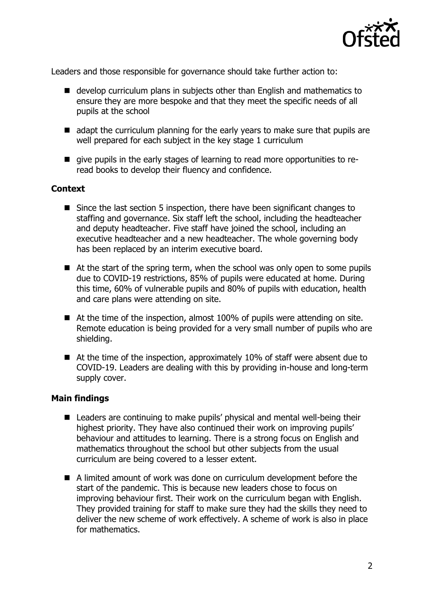

Leaders and those responsible for governance should take further action to:

- develop curriculum plans in subiects other than English and mathematics to ensure they are more bespoke and that they meet the specific needs of all pupils at the school
- adapt the curriculum planning for the early years to make sure that pupils are well prepared for each subject in the key stage 1 curriculum
- qive pupils in the early stages of learning to read more opportunities to reread books to develop their fluency and confidence.

## **Context**

- Since the last section 5 inspection, there have been significant changes to staffing and governance. Six staff left the school, including the headteacher and deputy headteacher. Five staff have joined the school, including an executive headteacher and a new headteacher. The whole governing body has been replaced by an interim executive board.
- At the start of the spring term, when the school was only open to some pupils due to COVID-19 restrictions, 85% of pupils were educated at home. During this time, 60% of vulnerable pupils and 80% of pupils with education, health and care plans were attending on site.
- At the time of the inspection, almost 100% of pupils were attending on site. Remote education is being provided for a very small number of pupils who are shielding.
- At the time of the inspection, approximately 10% of staff were absent due to COVID-19. Leaders are dealing with this by providing in-house and long-term supply cover.

## **Main findings**

- Leaders are continuing to make pupils' physical and mental well-being their highest priority. They have also continued their work on improving pupils' behaviour and attitudes to learning. There is a strong focus on English and mathematics throughout the school but other subjects from the usual curriculum are being covered to a lesser extent.
- A limited amount of work was done on curriculum development before the start of the pandemic. This is because new leaders chose to focus on improving behaviour first. Their work on the curriculum began with English. They provided training for staff to make sure they had the skills they need to deliver the new scheme of work effectively. A scheme of work is also in place for mathematics.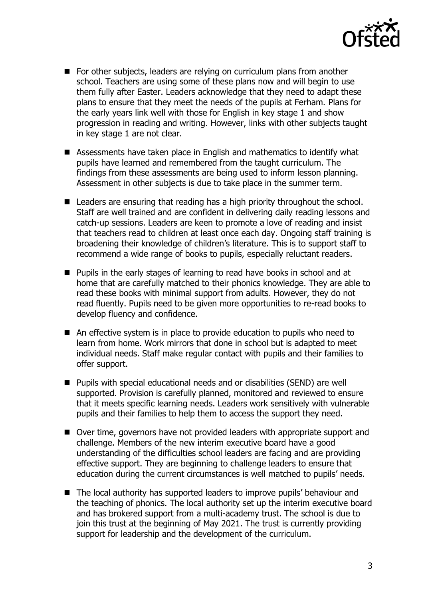

- For other subjects, leaders are relying on curriculum plans from another school. Teachers are using some of these plans now and will begin to use them fully after Easter. Leaders acknowledge that they need to adapt these plans to ensure that they meet the needs of the pupils at Ferham. Plans for the early years link well with those for English in key stage 1 and show progression in reading and writing. However, links with other subjects taught in key stage 1 are not clear.
- Assessments have taken place in English and mathematics to identify what pupils have learned and remembered from the taught curriculum. The findings from these assessments are being used to inform lesson planning. Assessment in other subjects is due to take place in the summer term.
- Leaders are ensuring that reading has a high priority throughout the school. Staff are well trained and are confident in delivering daily reading lessons and catch-up sessions. Leaders are keen to promote a love of reading and insist that teachers read to children at least once each day. Ongoing staff training is broadening their knowledge of children's literature. This is to support staff to recommend a wide range of books to pupils, especially reluctant readers.
- **Pupils in the early stages of learning to read have books in school and at** home that are carefully matched to their phonics knowledge. They are able to read these books with minimal support from adults. However, they do not read fluently. Pupils need to be given more opportunities to re-read books to develop fluency and confidence.
- An effective system is in place to provide education to pupils who need to learn from home. Work mirrors that done in school but is adapted to meet individual needs. Staff make regular contact with pupils and their families to offer support.
- Pupils with special educational needs and or disabilities (SEND) are well supported. Provision is carefully planned, monitored and reviewed to ensure that it meets specific learning needs. Leaders work sensitively with vulnerable pupils and their families to help them to access the support they need.
- Over time, governors have not provided leaders with appropriate support and challenge. Members of the new interim executive board have a good understanding of the difficulties school leaders are facing and are providing effective support. They are beginning to challenge leaders to ensure that education during the current circumstances is well matched to pupils' needs.
- The local authority has supported leaders to improve pupils' behaviour and the teaching of phonics. The local authority set up the interim executive board and has brokered support from a multi-academy trust. The school is due to join this trust at the beginning of May 2021. The trust is currently providing support for leadership and the development of the curriculum.